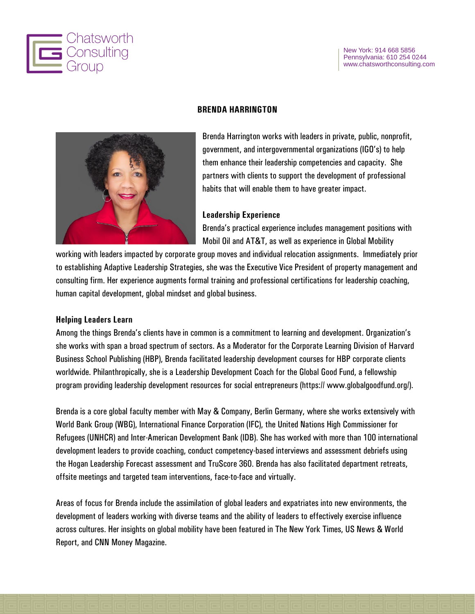



**BRENDA HARRINGTON**

Brenda Harrington works with leaders in private, public, nonprofit, government, and intergovernmental organizations (IGO's) to help them enhance their leadership competencies and capacity. She partners with clients to support the development of professional habits that will enable them to have greater impact.

#### **Leadership Experience**

Brenda's practical experience includes management positions with Mobil Oil and AT&T, as well as experience in Global Mobility

working with leaders impacted by corporate group moves and individual relocation assignments. Immediately prior to establishing Adaptive Leadership Strategies, she was the Executive Vice President of property management and consulting firm. Her experience augments formal training and professional certifications for leadership coaching, human capital development, global mindset and global business.

#### **Helping Leaders Learn**

Among the things Brenda's clients have in common is a commitment to learning and development. Organization's she works with span a broad spectrum of sectors. As a Moderator for the Corporate Learning Division of Harvard Business School Publishing (HBP), Brenda facilitated leadership development courses for HBP corporate clients worldwide. Philanthropically, she is a Leadership Development Coach for the Global Good Fund, a fellowship program providing leadership development resources for social entrepreneurs (https:// www.globalgoodfund.org/).

Brenda is a core global faculty member with May & Company, Berlin Germany, where she works extensively with World Bank Group (WBG), International Finance Corporation (IFC), the United Nations High Commissioner for Refugees (UNHCR) and Inter-American Development Bank (IDB). She has worked with more than 100 international development leaders to provide coaching, conduct competency-based interviews and assessment debriefs using the Hogan Leadership Forecast assessment and TruScore 360. Brenda has also facilitated department retreats, offsite meetings and targeted team interventions, face-to-face and virtually.

Areas of focus for Brenda include the assimilation of global leaders and expatriates into new environments, the development of leaders working with diverse teams and the ability of leaders to effectively exercise influence across cultures. Her insights on global mobility have been featured in The New York Times, US News & World Report, and CNN Money Magazine.